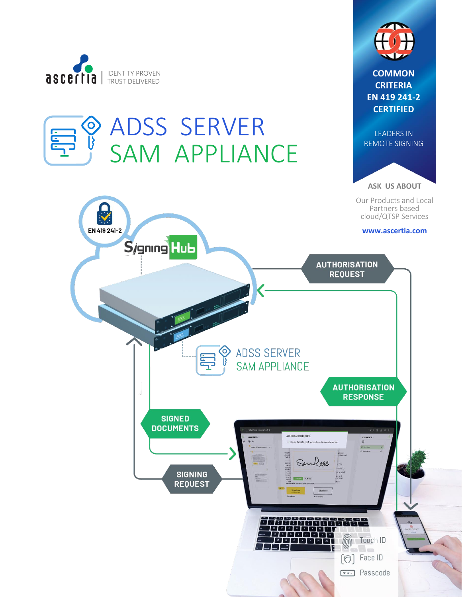

 $\odot$ 

Eug

ADSS SERVER

SAM APPLIANCE



**COMMON CRITERIA EN 419 241-2 CERTIFIED**



**ASK US ABOUT**

Our Products and Local Partners based cloud/QTSP Services